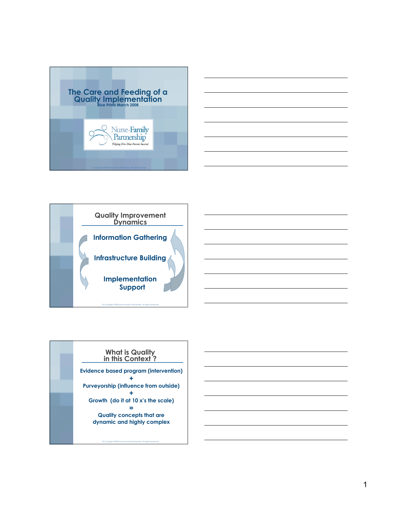





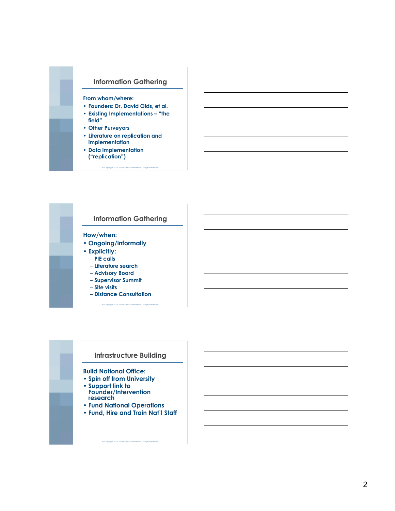



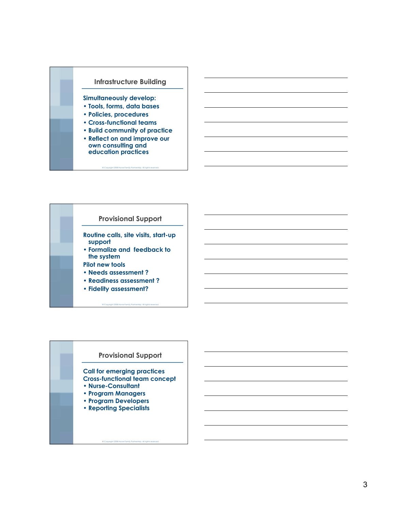